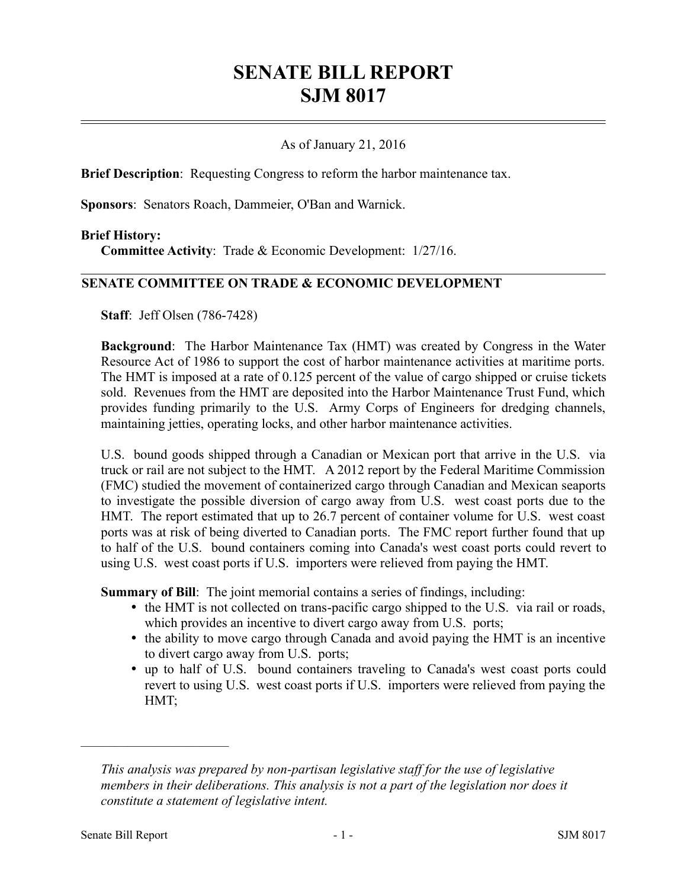## **SENATE BILL REPORT SJM 8017**

## As of January 21, 2016

**Brief Description**: Requesting Congress to reform the harbor maintenance tax.

**Sponsors**: Senators Roach, Dammeier, O'Ban and Warnick.

## **Brief History:**

**Committee Activity**: Trade & Economic Development: 1/27/16.

## **SENATE COMMITTEE ON TRADE & ECONOMIC DEVELOPMENT**

**Staff**: Jeff Olsen (786-7428)

**Background**: The Harbor Maintenance Tax (HMT) was created by Congress in the Water Resource Act of 1986 to support the cost of harbor maintenance activities at maritime ports. The HMT is imposed at a rate of 0.125 percent of the value of cargo shipped or cruise tickets sold. Revenues from the HMT are deposited into the Harbor Maintenance Trust Fund, which provides funding primarily to the U.S. Army Corps of Engineers for dredging channels, maintaining jetties, operating locks, and other harbor maintenance activities.

U.S. bound goods shipped through a Canadian or Mexican port that arrive in the U.S. via truck or rail are not subject to the HMT. A 2012 report by the Federal Maritime Commission (FMC) studied the movement of containerized cargo through Canadian and Mexican seaports to investigate the possible diversion of cargo away from U.S. west coast ports due to the HMT. The report estimated that up to 26.7 percent of container volume for U.S. west coast ports was at risk of being diverted to Canadian ports. The FMC report further found that up to half of the U.S. bound containers coming into Canada's west coast ports could revert to using U.S. west coast ports if U.S. importers were relieved from paying the HMT.

**Summary of Bill**: The joint memorial contains a series of findings, including:

- the HMT is not collected on trans-pacific cargo shipped to the U.S. via rail or roads, which provides an incentive to divert cargo away from U.S. ports;
- the ability to move cargo through Canada and avoid paying the HMT is an incentive to divert cargo away from U.S. ports;
- up to half of U.S. bound containers traveling to Canada's west coast ports could revert to using U.S. west coast ports if U.S. importers were relieved from paying the HMT;

––––––––––––––––––––––

*This analysis was prepared by non-partisan legislative staff for the use of legislative members in their deliberations. This analysis is not a part of the legislation nor does it constitute a statement of legislative intent.*